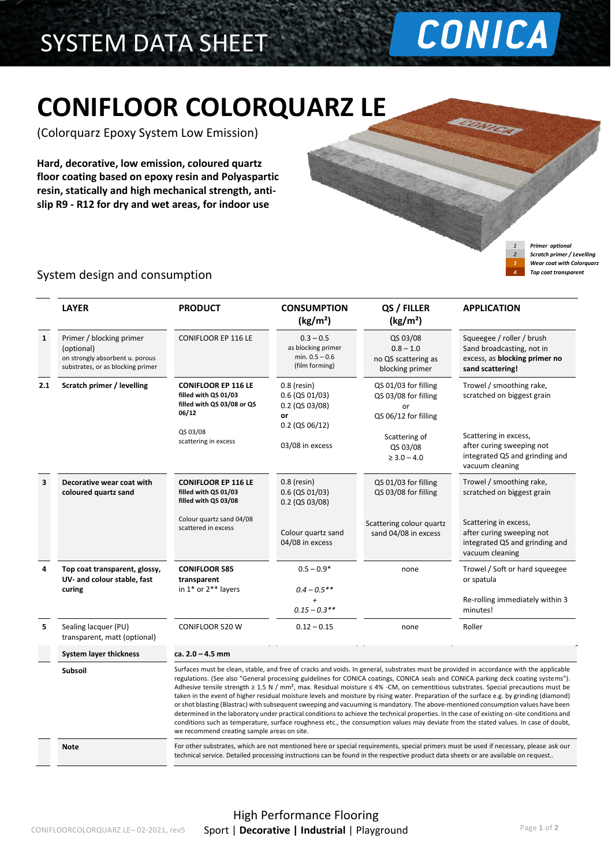## SYSTEM DATA SHEET

## CONICA

**REDUCED** 

### **CONIFLOOR COLORQUARZ LE**

(Colorquarz Epoxy System Low Emission)

**Hard, decorative, low emission, coloured quartz floor coating based on epoxy resin and Polyaspartic resin, statically and high mechanical strength, antislip R9 - R12 for dry and wet areas, for indoor use**

> *Primer optional Grundierung optional Scratch primer / Levelling Grundierspachtelung / Egalisierung Wear coat with Colorquarz Einstreubeschichtung mit Colorquarz*  $Top cost transport$

#### System design and consumption

|              | <b>LAYER</b>                                                                                                   | <b>PRODUCT</b>                                                                                                                                                                                                                                                                                                                                                                                                                                                                                                                                                                                                                                                                                                                                                                                                                                                                                                                                                                                                                                                     | <b>CONSUMPTION</b><br>(kg/m <sup>2</sup> )                                  | QS / FILLER<br>(kg/m <sup>2</sup> )                                        | <b>APPLICATION</b>                                                                                                                                                                                                                                                          |
|--------------|----------------------------------------------------------------------------------------------------------------|--------------------------------------------------------------------------------------------------------------------------------------------------------------------------------------------------------------------------------------------------------------------------------------------------------------------------------------------------------------------------------------------------------------------------------------------------------------------------------------------------------------------------------------------------------------------------------------------------------------------------------------------------------------------------------------------------------------------------------------------------------------------------------------------------------------------------------------------------------------------------------------------------------------------------------------------------------------------------------------------------------------------------------------------------------------------|-----------------------------------------------------------------------------|----------------------------------------------------------------------------|-----------------------------------------------------------------------------------------------------------------------------------------------------------------------------------------------------------------------------------------------------------------------------|
| $\mathbf{1}$ | Primer / blocking primer<br>(optional)<br>on strongly absorbent u. porous<br>substrates, or as blocking primer | CONIFLOOR EP 116 LE                                                                                                                                                                                                                                                                                                                                                                                                                                                                                                                                                                                                                                                                                                                                                                                                                                                                                                                                                                                                                                                | $0.3 - 0.5$<br>as blocking primer<br>min. $0.5 - 0.6$<br>(film forming)     | QS 03/08<br>$0.8 - 1.0$<br>no QS scattering as<br>blocking primer          | Squeegee / roller / brush<br>Sand broadcasting, not in<br>excess, as blocking primer no<br>sand scattering!                                                                                                                                                                 |
| 2.1          | Scratch primer / levelling                                                                                     | <b>CONIFLOOR EP 116 LE</b><br>filled with QS 01/03<br>filled with QS 03/08 or QS<br>06/12                                                                                                                                                                                                                                                                                                                                                                                                                                                                                                                                                                                                                                                                                                                                                                                                                                                                                                                                                                          | $0.8$ (resin)<br>$0.6$ (QS 01/03)<br>0.2 (QS 03/08)<br>or<br>0.2 (QS 06/12) | QS 01/03 for filling<br>QS 03/08 for filling<br>or<br>QS 06/12 for filling | Trowel / smoothing rake,<br>scratched on biggest grain                                                                                                                                                                                                                      |
|              |                                                                                                                | QS 03/08<br>scattering in excess                                                                                                                                                                                                                                                                                                                                                                                                                                                                                                                                                                                                                                                                                                                                                                                                                                                                                                                                                                                                                                   | 03/08 in excess                                                             | Scattering of<br>QS 03/08<br>$\geq 3.0 - 4.0$                              | Scattering in excess,<br>after curing sweeping not<br>integrated QS and grinding and<br>vacuum cleaning                                                                                                                                                                     |
| 3            | Decorative wear coat with<br>coloured quartz sand                                                              | <b>CONIFLOOR EP 116 LE</b><br>filled with QS 01/03<br>filled with QS 03/08                                                                                                                                                                                                                                                                                                                                                                                                                                                                                                                                                                                                                                                                                                                                                                                                                                                                                                                                                                                         | $0.8$ (resin)<br>$0.6$ (QS 01/03)<br>0.2 (QS 03/08)                         | QS 01/03 for filling<br>QS 03/08 for filling                               | Trowel / smoothing rake,<br>scratched on biggest grain                                                                                                                                                                                                                      |
|              |                                                                                                                | Colour quartz sand 04/08<br>scattered in excess                                                                                                                                                                                                                                                                                                                                                                                                                                                                                                                                                                                                                                                                                                                                                                                                                                                                                                                                                                                                                    | Colour quartz sand<br>04/08 in excess                                       | Scattering colour quartz<br>sand 04/08 in excess                           | Scattering in excess,<br>after curing sweeping not<br>integrated QS and grinding and<br>vacuum cleaning                                                                                                                                                                     |
| 4            | Top coat transparent, glossy,<br>UV- and colour stable, fast                                                   | <b>CONIFLOOR 585</b><br>transparent                                                                                                                                                                                                                                                                                                                                                                                                                                                                                                                                                                                                                                                                                                                                                                                                                                                                                                                                                                                                                                | $0.5 - 0.9*$                                                                | none                                                                       | Trowel / Soft or hard squeegee<br>or spatula                                                                                                                                                                                                                                |
|              | curing                                                                                                         | in 1* or 2** layers                                                                                                                                                                                                                                                                                                                                                                                                                                                                                                                                                                                                                                                                                                                                                                                                                                                                                                                                                                                                                                                | $0.4 - 0.5**$<br>$0.15 - 0.3**$                                             |                                                                            | Re-rolling immediately within 3<br>minutes!                                                                                                                                                                                                                                 |
| 5            | Sealing lacquer (PU)<br>transparent, matt (optional)                                                           | CONIFLOOR 520 W                                                                                                                                                                                                                                                                                                                                                                                                                                                                                                                                                                                                                                                                                                                                                                                                                                                                                                                                                                                                                                                    | $0.12 - 0.15$                                                               | none                                                                       | Roller                                                                                                                                                                                                                                                                      |
|              | <b>System layer thickness</b>                                                                                  | ca. 2.0 - 4.5 mm                                                                                                                                                                                                                                                                                                                                                                                                                                                                                                                                                                                                                                                                                                                                                                                                                                                                                                                                                                                                                                                   |                                                                             |                                                                            |                                                                                                                                                                                                                                                                             |
|              | Subsoil                                                                                                        | Surfaces must be clean, stable, and free of cracks and voids. In general, substrates must be provided in accordance with the applicable<br>regulations. (See also "General processing guidelines for CONICA coatings, CONICA seals and CONICA parking deck coating systems").<br>Adhesive tensile strength $\geq 1.5$ N / mm <sup>2</sup> , max. Residual moisture $\leq 4\%$ -CM, on cementitious substrates. Special precautions must be<br>taken in the event of higher residual moisture levels and moisture by rising water. Preparation of the surface e.g. by grinding (diamond)<br>or shot blasting (Blastrac) with subsequent sweeping and vacuuming is mandatory. The above-mentioned consumption values have been<br>determined in the laboratory under practical conditions to achieve the technical properties. In the case of existing on-site conditions and<br>conditions such as temperature, surface roughness etc., the consumption values may deviate from the stated values. In case of doubt,<br>we recommend creating sample areas on site. |                                                                             |                                                                            |                                                                                                                                                                                                                                                                             |
|              | <b>Note</b>                                                                                                    |                                                                                                                                                                                                                                                                                                                                                                                                                                                                                                                                                                                                                                                                                                                                                                                                                                                                                                                                                                                                                                                                    |                                                                             |                                                                            | For other substrates, which are not mentioned here or special requirements, special primers must be used if necessary, please ask our<br>technical service. Detailed processing instructions can be found in the respective product data sheets or are available on request |